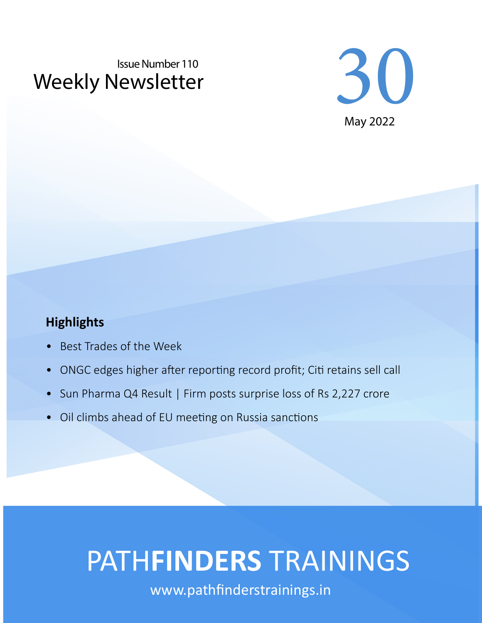# Weekly Newsletter Issue Number 110



#### **Highlights**

- Best Trades of the Week
- ONGC edges higher after reporting record profit; Citi retains sell call
- Sun Pharma Q4 Result | Firm posts surprise loss of Rs 2,227 crore
- Oil climbs ahead of EU meeting on Russia sanctions

# PATH**FINDERS** TRAININGS

www.pathfinderstrainings.in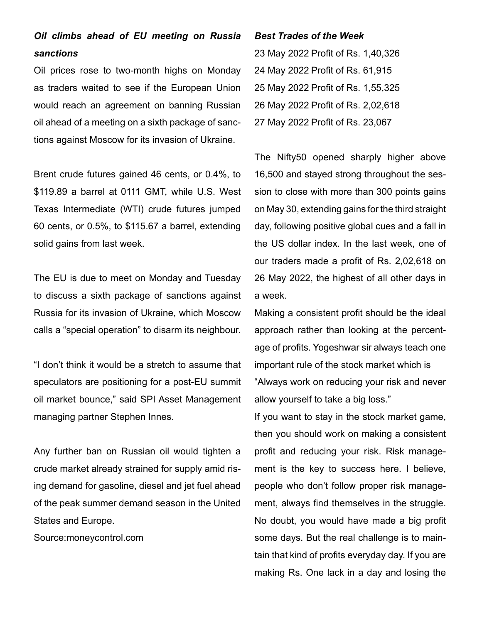#### *Oil climbs ahead of EU meeting on Russia sanctions*

Oil prices rose to two-month highs on Monday as traders waited to see if the European Union would reach an agreement on banning Russian oil ahead of a meeting on a sixth package of sanctions against Moscow for its invasion of Ukraine.

Brent crude futures gained 46 cents, or 0.4%, to \$119.89 a barrel at 0111 GMT, while U.S. West Texas Intermediate (WTI) crude futures jumped 60 cents, or 0.5%, to \$115.67 a barrel, extending solid gains from last week.

The EU is due to meet on Monday and Tuesday to discuss a sixth package of sanctions against Russia for its invasion of Ukraine, which Moscow calls a "special operation" to disarm its neighbour.

"I don't think it would be a stretch to assume that speculators are positioning for a post-EU summit oil market bounce," said SPI Asset Management managing partner Stephen Innes.

Any further ban on Russian oil would tighten a crude market already strained for supply amid rising demand for gasoline, diesel and jet fuel ahead of the peak summer demand season in the United States and Europe.

Source:moneycontrol.com

*Best Trades of the Week* 23 May 2022 Profit of Rs. 1,40,326 24 May 2022 Profit of Rs. 61,915 25 May 2022 Profit of Rs. 1,55,325 26 May 2022 Profit of Rs. 2,02,618 27 May 2022 Profit of Rs. 23,067

The Nifty50 opened sharply higher above 16,500 and stayed strong throughout the session to close with more than 300 points gains on May 30, extending gains for the third straight day, following positive global cues and a fall in the US dollar index. In the last week, one of our traders made a profit of Rs. 2,02,618 on 26 May 2022, the highest of all other days in a week.

Making a consistent profit should be the ideal approach rather than looking at the percentage of profits. Yogeshwar sir always teach one important rule of the stock market which is "Always work on reducing your risk and never allow yourself to take a big loss."

If you want to stay in the stock market game, then you should work on making a consistent profit and reducing your risk. Risk management is the key to success here. I believe, people who don't follow proper risk management, always find themselves in the struggle. No doubt, you would have made a big profit some days. But the real challenge is to maintain that kind of profits everyday day. If you are making Rs. One lack in a day and losing the